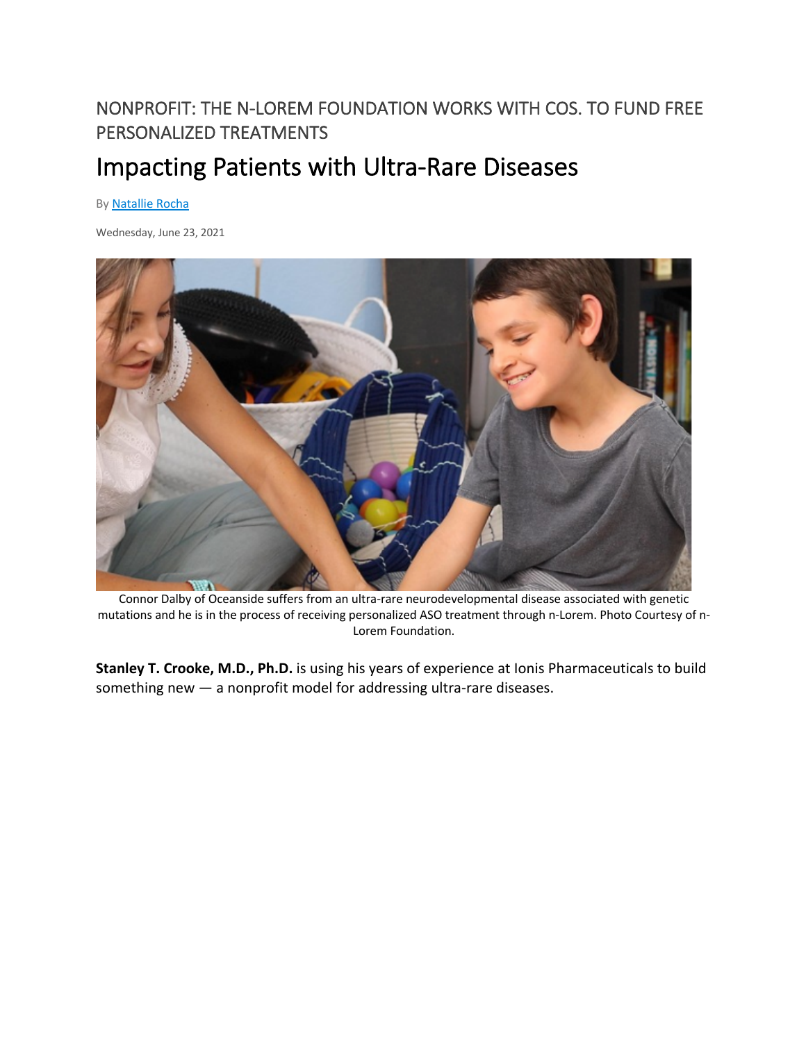## NONPROFIT: THE N-LOREM FOUNDATION WORKS WITH COS. TO FUND FREE PERSONALIZED TREATMENTS

## Impacting Patients with Ultra-Rare Diseases

By Natallie Rocha

Wednesday, June 23, 2021



Connor Dalby of Oceanside suffers from an ultra-rare neurodevelopmental disease associated with genetic mutations and he is in the process of receiving personalized ASO treatment through n-Lorem. Photo Courtesy of n-Lorem Foundation.

**Stanley T. Crooke, M.D., Ph.D.** is using his years of experience at Ionis Pharmaceuticals to build something new — a nonprofit model for addressing ultra-rare diseases.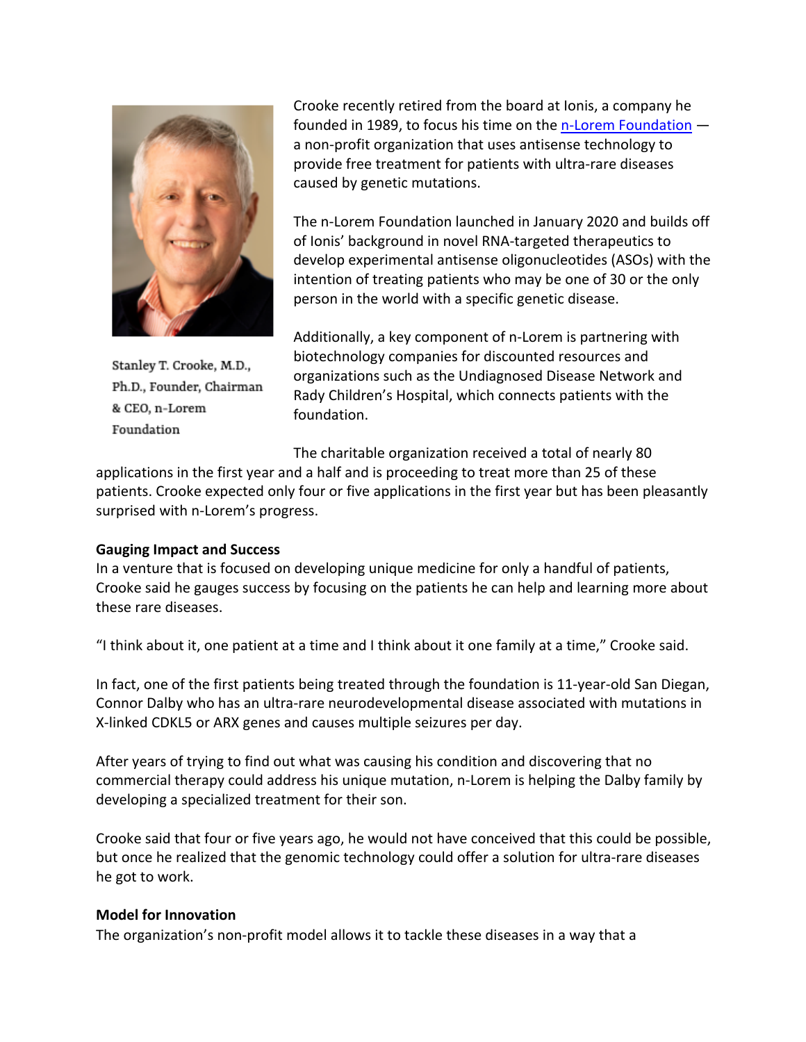

Stanley T. Crooke, M.D., Ph.D., Founder, Chairman & CEO, n-Lorem Foundation

Crooke recently retired from the board at Ionis, a company he founded in 1989, to focus his time on the n-Lorem Foundation a non-profit organization that uses antisense technology to provide free treatment for patients with ultra-rare diseases caused by genetic mutations.

The n-Lorem Foundation launched in January 2020 and builds off of Ionis' background in novel RNA-targeted therapeutics to develop experimental antisense oligonucleotides (ASOs) with the intention of treating patients who may be one of 30 or the only person in the world with a specific genetic disease.

Additionally, a key component of n-Lorem is partnering with biotechnology companies for discounted resources and organizations such as the Undiagnosed Disease Network and Rady Children's Hospital, which connects patients with the foundation.

The charitable organization received a total of nearly 80

applications in the first year and a half and is proceeding to treat more than 25 of these patients. Crooke expected only four or five applications in the first year but has been pleasantly surprised with n-Lorem's progress.

## **Gauging Impact and Success**

In a venture that is focused on developing unique medicine for only a handful of patients, Crooke said he gauges success by focusing on the patients he can help and learning more about these rare diseases.

"I think about it, one patient at a time and I think about it one family at a time," Crooke said.

In fact, one of the first patients being treated through the foundation is 11-year-old San Diegan, Connor Dalby who has an ultra-rare neurodevelopmental disease associated with mutations in X-linked CDKL5 or ARX genes and causes multiple seizures per day.

After years of trying to find out what was causing his condition and discovering that no commercial therapy could address his unique mutation, n-Lorem is helping the Dalby family by developing a specialized treatment for their son.

Crooke said that four or five years ago, he would not have conceived that this could be possible, but once he realized that the genomic technology could offer a solution for ultra-rare diseases he got to work.

## **Model for Innovation**

The organization's non-profit model allows it to tackle these diseases in a way that a